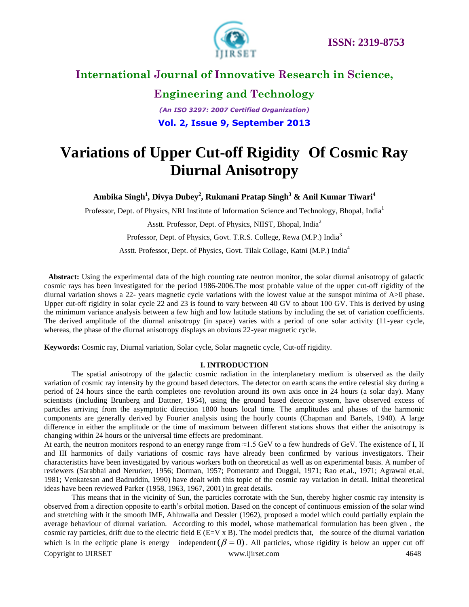

# **Engineering and Technology** *(An ISO 3297: 2007 Certified Organization)* **Vol. 2, Issue 9, September 2013**

# **Variations of Upper Cut-off Rigidity Of Cosmic Ray Diurnal Anisotropy**

**Ambika Singh<sup>1</sup> , Divya Dubey<sup>2</sup> , Rukmani Pratap Singh<sup>3</sup> & Anil Kumar Tiwari<sup>4</sup>**

Professor, Dept. of Physics, NRI Institute of Information Science and Technology, Bhopal, India<sup>1</sup>

Asstt. Professor, Dept. of Physics, NIIST, Bhopal, India<sup>2</sup>

Professor, Dept. of Physics, Govt. T.R.S. College, Rewa (M.P.) India<sup>3</sup>

Asstt. Professor, Dept. of Physics, Govt. Tilak Collage, Katni (M.P.) India<sup>4</sup>

 **Abstract:** Using the experimental data of the high counting rate neutron monitor, the solar diurnal anisotropy of galactic cosmic rays has been investigated for the period 1986-2006.The most probable value of the upper cut-off rigidity of the diurnal variation shows a 22- years magnetic cycle variations with the lowest value at the sunspot minima of A>0 phase. Upper cut-off rigidity in solar cycle 22 and 23 is found to vary between 40 GV to about 100 GV. This is derived by using the minimum variance analysis between a few high and low latitude stations by including the set of variation coefficients. The derived amplitude of the diurnal anisotropy (in space) varies with a period of one solar activity (11-year cycle, whereas, the phase of the diurnal anisotropy displays an obvious 22-year magnetic cycle.

**Keywords:** Cosmic ray, Diurnal variation, Solar cycle, Solar magnetic cycle, Cut-off rigidity.

#### **I. INTRODUCTION**

The spatial anisotropy of the galactic cosmic radiation in the interplanetary medium is observed as the daily variation of cosmic ray intensity by the ground based detectors. The detector on earth scans the entire celestial sky during a period of 24 hours since the earth completes one revolution around its own axis once in 24 hours (a solar day). Many scientists (including Brunberg and Dattner, 1954), using the ground based detector system, have observed excess of particles arriving from the asymptotic direction 1800 hours local time. The amplitudes and phases of the harmonic components are generally derived by Fourier analysis using the hourly counts (Chapman and Bartels, 1940). A large difference in either the amplitude or the time of maximum between different stations shows that either the anisotropy is changing within 24 hours or the universal time effects are predominant.

At earth, the neutron monitors respond to an energy range from ≈1.5 GeV to a few hundreds of GeV. The existence of I, II and III harmonics of daily variations of cosmic rays have already been confirmed by various investigators. Their characteristics have been investigated by various workers both on theoretical as well as on experimental basis. A number of reviewers (Sarabhai and Nerurker, 1956; Dorman, 1957; Pomerantz and Duggal, 1971; Rao et.al., 1971; Agrawal et.al, 1981; Venkatesan and Badruddin, 1990) have dealt with this topic of the cosmic ray variation in detail. Initial theoretical ideas have been reviewed Parker (1958, 1963, 1967, 2001) in great details.

Copyright to IJIRSET [www.ijirset.com](http://www.ijirset.com/) 4648 This means that in the vicinity of Sun, the particles corrotate with the Sun, thereby higher cosmic ray intensity is observed from a direction opposite to earth's orbital motion. Based on the concept of continuous emission of the solar wind and stretching with it the smooth IMF, Ahluwalia and Dessler (1962), proposed a model which could partially explain the average behaviour of diurnal variation. According to this model, whose mathematical formulation has been given , the cosmic ray particles, drift due to the electric field  $E(E=V \times B)$ . The model predicts that, the source of the diurnal variation which is in the ecliptic plane is energy independent  $(\beta = 0)$ . All particles, whose rigidity is below an upper cut off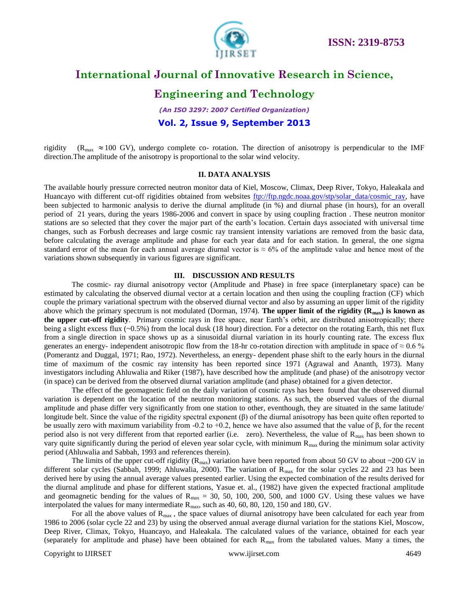

#### **Engineering and Technology**

*(An ISO 3297: 2007 Certified Organization)*

#### **Vol. 2, Issue 9, September 2013**

rigidity ( $R_{\text{max}} \approx 100 \text{ GV}$ ), undergo complete co- rotation. The direction of anisotropy is perpendicular to the IMF direction.The amplitude of the anisotropy is proportional to the solar wind velocity.

#### **II. DATA ANALYSIS**

The available hourly pressure corrected neutron monitor data of Kiel, Moscow, Climax, Deep River, Tokyo, Haleakala and Huancayo with different cut-off rigidities obtained from websites [ftp://ftp.ngdc.noaa.gov/stp/solar\\_data/cosmic\\_ray,](ftp://ftp.ngdc.noaa.gov/stp/solar_data/cosmic_ray) have been subjected to harmonic analysis to derive the diurnal amplitude (in %) and diurnal phase (in hours), for an overall period of 21 years, during the years 1986-2006 and convert in space by using coupling fraction . These neutron monitor stations are so selected that they cover the major part of the earth's location. Certain days associated with universal time changes, such as Forbush decreases and large cosmic ray transient intensity variations are removed from the basic data, before calculating the average amplitude and phase for each year data and for each station. In general, the one sigma standard error of the mean for each annual average diurnal vector is  $\approx 6\%$  of the amplitude value and hence most of the variations shown subsequently in various figures are significant.

#### **III. DISCUSSION AND RESULTS**

The cosmic- ray diurnal anisotropy vector (Amplitude and Phase) in free space (interplanetary space) can be estimated by calculating the observed diurnal vector at a certain location and then using the coupling fraction (CF) which couple the primary variational spectrum with the observed diurnal vector and also by assuming an upper limit of the rigidity above which the primary spectrum is not modulated (Dorman, 1974). **The upper limit of the rigidity (Rmax) is known as the upper cut-off rigidity**. Primary cosmic rays in free space, near Earth's orbit, are distributed anisotropically; there being a slight excess flux (~0.5%) from the local dusk (18 hour) direction. For a detector on the rotating Earth, this net flux from a single direction in space shows up as a sinusoidal diurnal variation in its hourly counting rate. The excess flux generates an energy- independent anisotropic flow from the 18-hr co-rotation direction with amplitude in space of  $\approx 0.6$  % (Pomerantz and Duggal, 1971; Rao, 1972). Nevertheless, an energy- dependent phase shift to the early hours in the diurnal time of maximum of the cosmic ray intensity has been reported since 1971 (Agrawal and Ananth, 1973). Many investigators including Ahluwalia and Riker (1987), have described how the amplitude (and phase) of the anisotropy vector (in space) can be derived from the observed diurnal variation amplitude (and phase) obtained for a given detector.

The effect of the geomagnetic field on the daily variation of cosmic rays has been found that the observed diurnal variation is dependent on the location of the neutron monitoring stations. As such, the observed values of the diurnal amplitude and phase differ very significantly from one station to other, eventhough, they are situated in the same latitude/ longitude belt. Since the value of the rigidity spectral exponent (β) of the diurnal anisotropy has been quite often reported to be usually zero with maximum variability from -0.2 to +0.2, hence we have also assumed that the value of  $\beta$ , for the recent period also is not very different from that reported earlier (i.e. zero). Nevertheless, the value of  $R_{\text{max}}$  has been shown to vary quite significantly during the period of eleven year solar cycle, with minimum  $R_{\text{max}}$  during the minimum solar activity period (Ahluwalia and Sabbah, 1993 and references therein).

The limits of the upper cut-off rigidity ( $R_{\text{max}}$ ) variation have been reported from about 50 GV to about ~200 GV in different solar cycles (Sabbah, 1999; Ahluwalia, 2000). The variation of  $R_{\text{max}}$  for the solar cycles 22 and 23 has been derived here by using the annual average values presented earlier. Using the expected combination of the results derived for the diurnal amplitude and phase for different stations, Yasue et. al., (1982) have given the expected fractional amplitude and geomagnetic bending for the values of  $R_{\text{max}} = 30, 50, 100, 200, 500,$  and 1000 GV. Using these values we have interpolated the values for many intermediate  $R_{\text{max}}$ , such as 40, 60, 80, 120, 150 and 180, GV.

For all the above values of  $R_{\text{max}}$ , the space values of diurnal anisotropy have been calculated for each year from 1986 to 2006 (solar cycle 22 and 23) by using the observed annual average diurnal variation for the stations Kiel, Moscow, Deep River, Climax, Tokyo, Huancayo, and Haleakala. The calculated values of the variance, obtained for each year (separately for amplitude and phase) have been obtained for each  $R_{\text{max}}$  from the tabulated values. Many a times, the

Copyright to IJIRSET [www.ijirset.com](http://www.ijirset.com/) 4649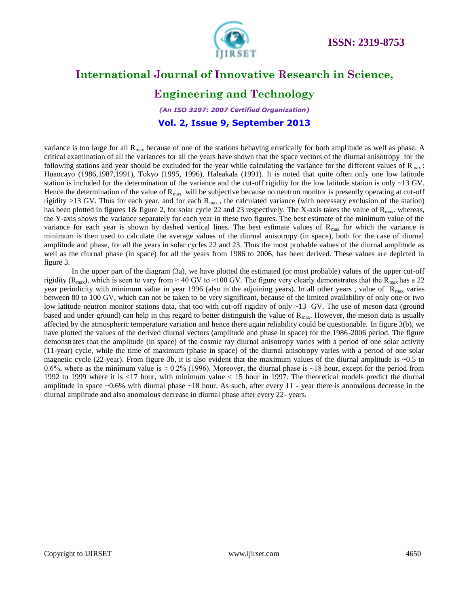

### **Engineering and Technology**

*(An ISO 3297: 2007 Certified Organization)* **Vol. 2, Issue 9, September 2013**

variance is too large for all  $R_{\text{max}}$  because of one of the stations behaving erratically for both amplitude as well as phase. A critical examination of all the variances for all the years have shown that the space vectors of the diurnal anisotropy for the following stations and year should be excluded for the year while calculating the variance for the different values of  $\mathbf{R}_{\text{max}}$ : Huancayo (1986,1987,1991), Tokyo (1995, 1996), Haleakala (1991). It is noted that quite often only one low latitude station is included for the determination of the variance and the cut-off rigidity for the low latitude station is only  $\sim$ 13 GV. Hence the determination of the value of  $R_{\text{max}}$  will be subjective because no neutron monitor is presently operating at cut-off rigidity >13 GV. Thus for each year, and for each  $R_{\text{max}}$ , the calculated variance (with necessary exclusion of the station) has been plotted in figures 1& figure 2, for solar cycle 22 and 23 respectively. The X-axis takes the value of  $R_{\text{max}}$ . whereas, the Y-axis shows the variance separately for each year in these two figures. The best estimate of the minimum value of the variance for each year is shown by dashed vertical lines. The best estimate values of  $R_{\text{max}}$  for which the variance is minimum is then used to calculate the average values of the diurnal anisotropy (in space), both for the case of diurnal amplitude and phase, for all the years in solar cycles 22 and 23. Thus the most probable values of the diurnal amplitude as well as the diurnal phase (in space) for all the years from 1986 to 2006, has been derived. These values are depicted in figure 3.

In the upper part of the diagram (3a), we have plotted the estimated (or most probable) values of the upper cut-off rigidity (R<sub>max</sub>), which is seen to vary from ≈ 40 GV to ≈100 GV. The figure very clearly demonstrates that the R<sub>max</sub> has a 22 year periodicity with minimum value in year 1996 (also in the adjoining years). In all other years, value of  $R_{\text{max}}$  varies between 80 to 100 GV, which can not be taken to be very significant, because of the limited availability of only one or two low latitude neutron monitor stations data, that too with cut-off rigidity of only ~13 GV. The use of meson data (ground based and under ground) can help in this regard to better distinguish the value of  $R_{\text{max}}$ . However, the meson data is usually affected by the atmospheric temperature variation and hence there again reliability could be questionable. In figure 3(b), we have plotted the values of the derived diurnal vectors (amplitude and phase in space) for the 1986-2006 period. The figure demonstrates that the amplitude (in space) of the cosmic ray diurnal anisotropy varies with a period of one solar activity (11-year) cycle, while the time of maximum (phase in space) of the diurnal anisotropy varies with a period of one solar magnetic cycle (22-year). From figure 3b, it is also evident that the maximum values of the diurnal amplitude is  $\sim 0.5$  to 0.6%, where as the minimum value is  $\approx$  0.2% (1996). Moreover, the diurnal phase is  $\sim$ 18 hour, except for the period from 1992 to 1999 where it is <17 hour, with minimum value < 15 hour in 1997. The theoretical models predict the diurnal amplitude in space  $\sim 0.6\%$  with diurnal phase  $\sim 18$  hour. As such, after every 11 - year there is anomalous decrease in the diurnal amplitude and also anomalous decrease in diurnal phase after every 22- years.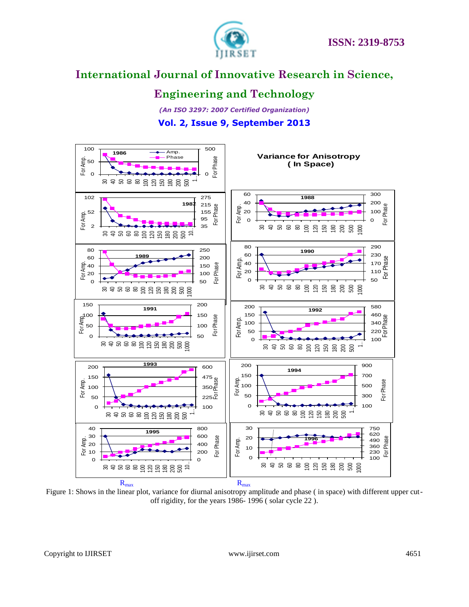

### **Engineering and Technology**

*(An ISO 3297: 2007 Certified Organization)* **Vol. 2, Issue 9, September 2013**



Figure 1: Shows in the linear plot, variance for diurnal anisotropy amplitude and phase ( in space) with different upper cutoff rigidity, for the years 1986- 1996 ( solar cycle 22 ).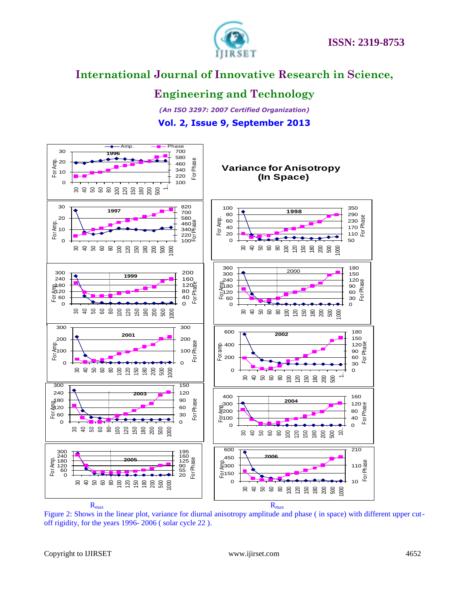



### **Engineering and Technology**

*(An ISO 3297: 2007 Certified Organization)* **Vol. 2, Issue 9, September 2013**



Figure 2: Shows in the linear plot, variance for diurnal anisotropy amplitude and phase ( in space) with different upper cutoff rigidity, for the years 1996- 2006 ( solar cycle 22 ).

Copyright to IJIRSET [www.ijirset.com](http://www.ijirset.com/) 4652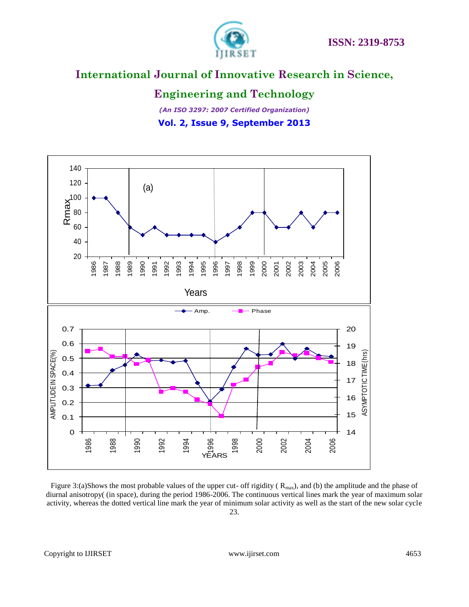

### **Engineering and Technology**

*(An ISO 3297: 2007 Certified Organization)* **Vol. 2, Issue 9, September 2013**



Figure 3:(a)Shows the most probable values of the upper cut- off rigidity ( $R_{\text{max}}$ ), and (b) the amplitude and the phase of diurnal anisotropy( (in space), during the period 1986-2006. The continuous vertical lines mark the year of maximum solar activity, whereas the dotted vertical line mark the year of minimum solar activity as well as the start of the new solar cycle 23.

Copyright to IJIRSET [www.ijirset.com](http://www.ijirset.com/) 4653